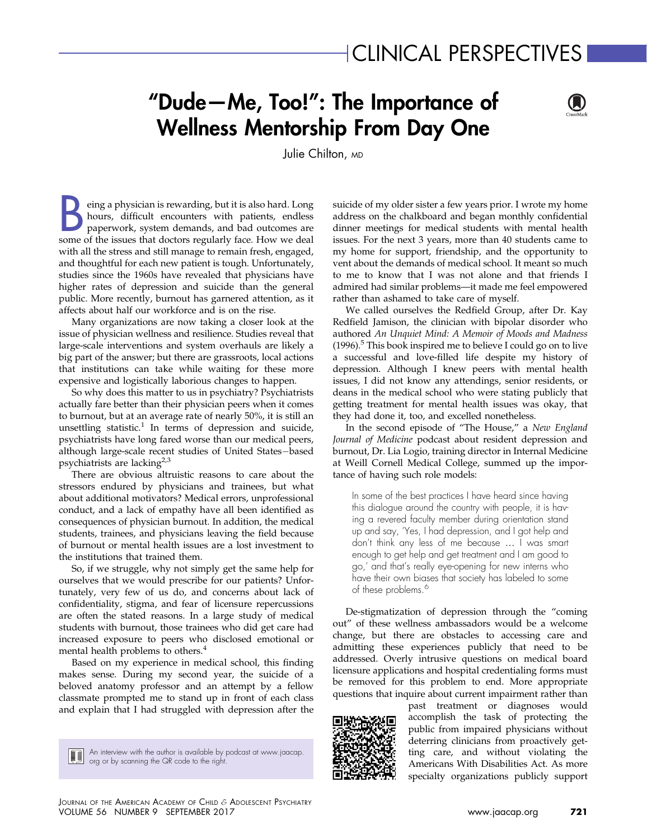## "Dude—Me, Too!": The Importance of Wellness Mentorship From Day One



Julie Chilton, MD

eing a physician is rewarding, but it is also hard. Long<br>hours, difficult encounters with patients, endless<br>paperwork, system demands, and bad outcomes are<br>some of the issues that doctors regularly face. How we deal hours, difficult encounters with patients, endless paperwork, system demands, and bad outcomes are some of the issues that doctors regularly face. How we deal with all the stress and still manage to remain fresh, engaged, and thoughtful for each new patient is tough. Unfortunately, studies since the 1960s have revealed that physicians have higher rates of depression and suicide than the general public. More recently, burnout has garnered attention, as it affects about half our workforce and is on the rise.

Many organizations are now taking a closer look at the issue of physician wellness and resilience. Studies reveal that large-scale interventions and system overhauls are likely a big part of the answer; but there are grassroots, local actions that institutions can take while waiting for these more expensive and logistically laborious changes to happen.

So why does this matter to us in psychiatry? Psychiatrists actually fare better than their physician peers when it comes to burnout, but at an average rate of nearly 50%, it is still an unsettling statistic.<sup>[1](#page-1-0)</sup> In terms of depression and suicide, psychiatrists have long fared worse than our medical peers, although large-scale recent studies of United States-based psychiatrists are lacking<sup>[2,3](#page-1-0)</sup>

There are obvious altruistic reasons to care about the stressors endured by physicians and trainees, but what about additional motivators? Medical errors, unprofessional conduct, and a lack of empathy have all been identified as consequences of physician burnout. In addition, the medical students, trainees, and physicians leaving the field because of burnout or mental health issues are a lost investment to the institutions that trained them.

So, if we struggle, why not simply get the same help for ourselves that we would prescribe for our patients? Unfortunately, very few of us do, and concerns about lack of confidentiality, stigma, and fear of licensure repercussions are often the stated reasons. In a large study of medical students with burnout, those trainees who did get care had increased exposure to peers who disclosed emotional or mental health problems to others.<sup>[4](#page-1-0)</sup>

Based on my experience in medical school, this finding makes sense. During my second year, the suicide of a beloved anatomy professor and an attempt by a fellow classmate prompted me to stand up in front of each class and explain that I had struggled with depression after the

An interview with the author is available by podcast at [www.jaacap.](http://www.jaacap.org) [org](http://www.jaacap.org) or by scanning the QR code to the right.

suicide of my older sister a few years prior. I wrote my home address on the chalkboard and began monthly confidential dinner meetings for medical students with mental health issues. For the next 3 years, more than 40 students came to my home for support, friendship, and the opportunity to vent about the demands of medical school. It meant so much to me to know that I was not alone and that friends I admired had similar problems—it made me feel empowered rather than ashamed to take care of myself.

We called ourselves the Redfield Group, after Dr. Kay Redfield Jamison, the clinician with bipolar disorder who authored An Unquiet Mind: A Memoir of Moods and Madness  $(1996).<sup>5</sup>$  $(1996).<sup>5</sup>$  $(1996).<sup>5</sup>$  This book inspired me to believe I could go on to live a successful and love-filled life despite my history of depression. Although I knew peers with mental health issues, I did not know any attendings, senior residents, or deans in the medical school who were stating publicly that getting treatment for mental health issues was okay, that they had done it, too, and excelled nonetheless.

In the second episode of "The House," a New England Journal of Medicine podcast about resident depression and burnout, Dr. Lia Logio, training director in Internal Medicine at Weill Cornell Medical College, summed up the importance of having such role models:

In some of the best practices I have heard since having this dialogue around the country with people, it is having a revered faculty member during orientation stand up and say, 'Yes, I had depression, and I got help and don't think any less of me because . I was smart enough to get help and get treatment and I am good to go,' and that's really eye-opening for new interns who have their own biases that society has labeled to some of these problems.<sup>[6](#page-1-0)</sup>

De-stigmatization of depression through the "coming out" of these wellness ambassadors would be a welcome change, but there are obstacles to accessing care and admitting these experiences publicly that need to be addressed. Overly intrusive questions on medical board licensure applications and hospital credentialing forms must be removed for this problem to end. More appropriate questions that inquire about current impairment rather than



past treatment or diagnoses would accomplish the task of protecting the public from impaired physicians without deterring clinicians from proactively getting care, and without violating the Americans With Disabilities Act. As more specialty organizations publicly support